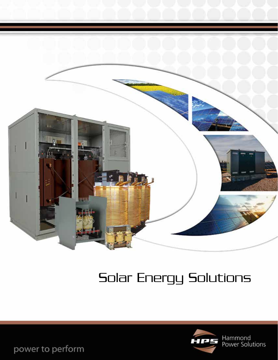

# Solar Energy Solutions



power to perform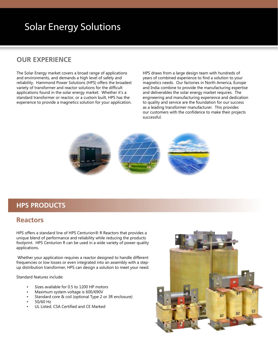## Solar Energy Solutions

### **OUR EXPERIENCE**

The Solar Energy market covers a broad range of applications and environments, and demands a high level of safety and reliability. Hammond Power Solutions (HPS) offers the broadest variety of transformer and reactor solutions for the difficult applications found in the solar energy market. Whether it's a standard transformer or reactor, or a custom built, HPS has the experience to provide a magnetics solution for your application.

HPS draws from a large design team with hundreds of years of combined experience to find a solution to your magnetics needs. Our factories in North America, Europe and India combine to provide the manufacturing expertise and deliverables the solar energy market requires. The engineering and manufacturing experience and dedication to quality and service are the foundation for our success as a leading transformer manufacturer. This provides our customers with the confidence to make their projects successful.



#### **HPS PRODUCTS**

#### **Reactors**

HPS offers a standard line of HPS Centurion® R Reactors that provides a unique blend of performance and reliability while reducing the products footprint. HPS Centurion R can be used in a wide variety of power quality applications.

 Whether your application requires a reactor designed to handle different frequencies or low losses or even integrated into an assembly with a stepup distribution transformer, HPS can design a solution to meet your need.

Standard features include:

- Sizes available for 0.5 to 1200 HP motors
- Maximum system voltage is 600/690V
- Standard core & coil (optional Type 2 or 3R enclosure)
- 50/60 Hz
- UL Listed, CSA Certified and CE Marked

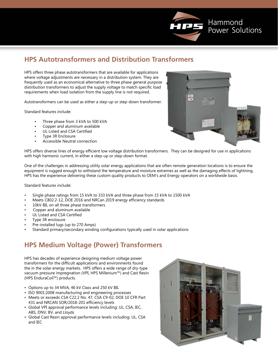

## **HPS Autotransformers and Distribution Transformers**

HPS offers three phase autotransformers that are available for applications where voltage adjustments are necessary in a distribution system. They are frequently used as an economical alternative to three phase general purpose distribution transformers to adjust the supply voltage to match specific load requirements when load isolation from the supply line is not required.

Autotransformers can be used as either a step-up or step-down transformer.

Standard features include:

- Three phase from 3 kVA to 500 kVA
- Copper and aluminum available
- UL Listed and CSA Certified
- Type 3R Enclosure
- Accessible Neutral connection



HPS offers diverse lines of energy efficient low voltage distribution transformers. They can be designed for use in applications with high harmonic current, in either a step-up or step-down format.

One of the challenges in addressing utility solar energy applications that are often remote generation locations is to ensure the equipment is rugged enough to withstand the temperature and moisture extremes as well as the damaging effects of lightning. HPS has the experience delivering these custom quality products to OEM's and Energy operators on a worldwide basis.

Standard features include:

- Single phase ratings from 15 kVA to 333 kVA and three phase from 15 kVA to 1500 kVA
- Meets C802.2-12, DOE 2016 and NRCan 2019 energy efficiency standards
- 10kV BIL on all three phase transformers
- Copper and aluminum available
- UL Listed and CSA Certified
- Type 3R enclosure
- Pre-installed lugs (up to 270 Amps)
- Standard primary/secondary winding configurations typically used in solar applications

## **HPS Medium Voltage (Power) Transformers**

HPS has decades of experience designing medium voltage power transformers for the difficult applications and environments found the in the solar energy markets. HPS offers a wide range of dry-type vacuum pressure impregnation (VPI, HPS Millenium™) and Cast Resin (HPS EnduraCoil™) products.

- Options up to 34 MVA, 46 kV Class and 250 kV BIL
- ISO 9001:2008 manufacturing and engineering processes
- Meets or exceeds CSA C22.2 No. 47, CSA C9-02, DOE 10 CFR Part 431 and NRCAN SOR/2018-201 efficiency levels
- Global VPI approval performance levels including: UL, CSA, IEC, ABS, DNV, BV, and Lloyds
- Global Cast Resin approval performance levels including: UL, CSA and IEC

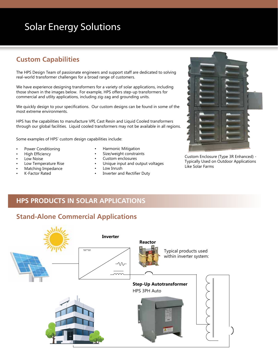## Solar Energy Solutions

## **Custom Capabilities**

The HPS Design Team of passionate engineers and support staff are dedicated to solving real-world transformer challenges for a broad range of customers.

We have experience designing transformers for a variety of solar applications, including those shown in the images below. For example, HPS offers step-up transformers for commercial and utlity applications, including zig-zag and grounding units.

We quickly design to your specifications. Our custom designs can be found in some of the most extreme environments.

HPS has the capabilities to manufacture VPI, Cast Resin and Liquid Cooled transformers through our global facilities. Liquid cooled transformers may not be available in all regions.

Some examples of HPS' custom design capabilities include:

- Power Conditioning
- High Efficiency
- Low Noise
- Low Temperature Rise
- Matching Impedance
- K-Factor Rated
- Harmonic Mitigation
- Size/weight constraints
- Custom enclosures
- Unique input and output voltages
- Low Inrush
- Inverter and Rectifier Duty



Custom Enclosure (Type 3R Enhanced) - Typically Used on Outdoor Applications Like Solar Farms

### **HPS PRODUCTS IN SOLAR APPLICATIONS**

#### **Stand-Alone Commercial Applications**

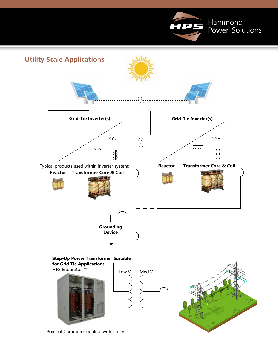